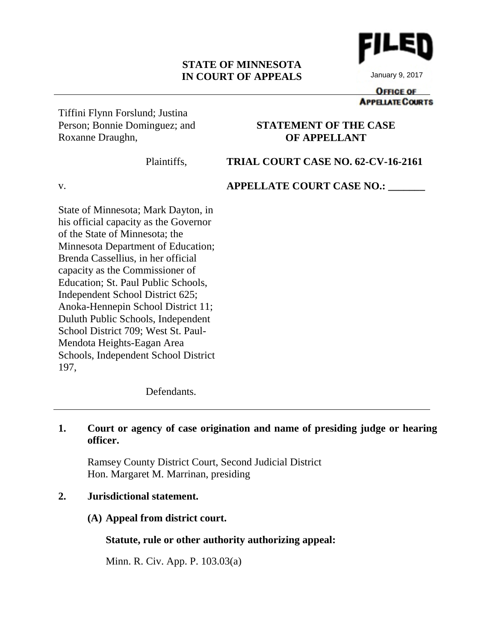#### **STATE OF MINNESOTA IN COURT OF APPEALS**



January 9, 2017

#### **OFFICE OF APPELIATE COURTS**

Tiffini Flynn Forslund; Justina Person; Bonnie Dominguez; and Roxanne Draughn,

# **STATEMENT OF THE CASE OF APPELLANT**

Plaintiffs,

# **TRIAL COURT CASE NO. 62-CV-16-2161**

v.

# **APPELLATE COURT CASE NO.: \_\_\_\_\_\_\_**

State of Minnesota; Mark Dayton, in his official capacity as the Governor of the State of Minnesota; the Minnesota Department of Education; Brenda Cassellius, in her official capacity as the Commissioner of Education; St. Paul Public Schools, Independent School District 625; Anoka-Hennepin School District 11; Duluth Public Schools, Independent School District 709; West St. Paul-Mendota Heights-Eagan Area Schools, Independent School District 197,

Defendants.

# **1. Court or agency of case origination and name of presiding judge or hearing officer.**

Ramsey County District Court, Second Judicial District Hon. Margaret M. Marrinan, presiding

# **2. Jurisdictional statement.**

# **(A) Appeal from district court.**

**Statute, rule or other authority authorizing appeal:**

Minn. R. Civ. App. P. 103.03(a)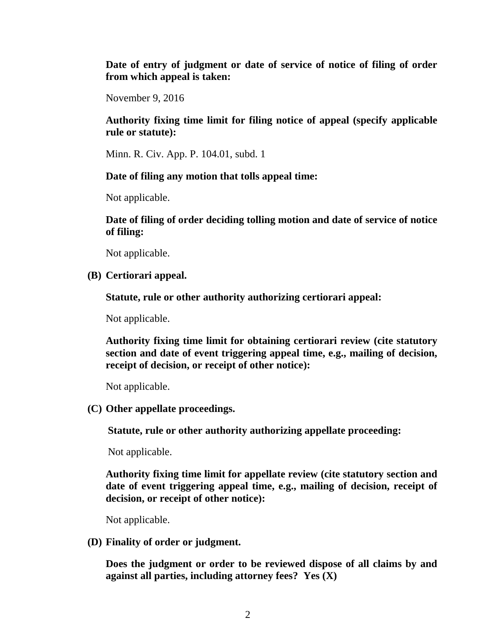**Date of entry of judgment or date of service of notice of filing of order from which appeal is taken:**

November 9, 2016

**Authority fixing time limit for filing notice of appeal (specify applicable rule or statute):**

Minn. R. Civ. App. P. 104.01, subd. 1

#### **Date of filing any motion that tolls appeal time:**

Not applicable.

**Date of filing of order deciding tolling motion and date of service of notice of filing:**

Not applicable.

**(B) Certiorari appeal.**

**Statute, rule or other authority authorizing certiorari appeal:**

Not applicable.

**Authority fixing time limit for obtaining certiorari review (cite statutory section and date of event triggering appeal time, e.g., mailing of decision, receipt of decision, or receipt of other notice):**

Not applicable.

**(C) Other appellate proceedings.**

**Statute, rule or other authority authorizing appellate proceeding:**

Not applicable.

**Authority fixing time limit for appellate review (cite statutory section and date of event triggering appeal time, e.g., mailing of decision, receipt of decision, or receipt of other notice):**

Not applicable.

**(D) Finality of order or judgment.**

**Does the judgment or order to be reviewed dispose of all claims by and against all parties, including attorney fees? Yes (X)**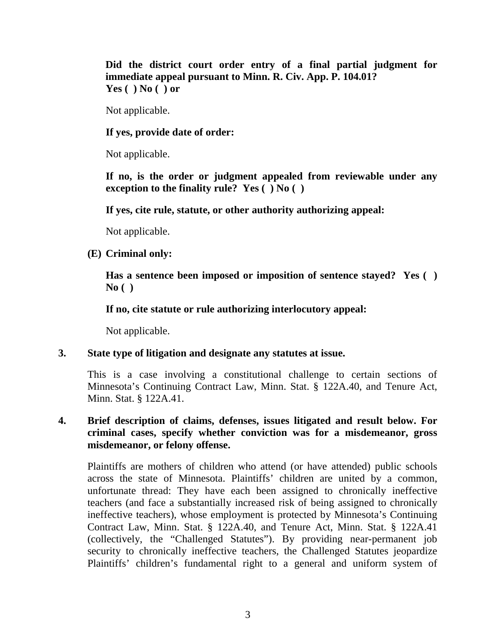**Did the district court order entry of a final partial judgment for immediate appeal pursuant to Minn. R. Civ. App. P. 104.01? Yes ( ) No ( ) or**

Not applicable.

**If yes, provide date of order:**

Not applicable.

**If no, is the order or judgment appealed from reviewable under any exception to the finality rule? Yes ( ) No ( )**

**If yes, cite rule, statute, or other authority authorizing appeal:**

Not applicable.

**(E) Criminal only:**

**Has a sentence been imposed or imposition of sentence stayed? Yes ( ) No ( )**

**If no, cite statute or rule authorizing interlocutory appeal:**

Not applicable.

# **3. State type of litigation and designate any statutes at issue.**

This is a case involving a constitutional challenge to certain sections of Minnesota's Continuing Contract Law, Minn. Stat. § 122A.40, and Tenure Act, Minn. Stat. § 122A.41.

# **4. Brief description of claims, defenses, issues litigated and result below. For criminal cases, specify whether conviction was for a misdemeanor, gross misdemeanor, or felony offense.**

Plaintiffs are mothers of children who attend (or have attended) public schools across the state of Minnesota. Plaintiffs' children are united by a common, unfortunate thread: They have each been assigned to chronically ineffective teachers (and face a substantially increased risk of being assigned to chronically ineffective teachers), whose employment is protected by Minnesota's Continuing Contract Law, Minn. Stat. § 122A.40, and Tenure Act, Minn. Stat. § 122A.41 (collectively, the "Challenged Statutes"). By providing near-permanent job security to chronically ineffective teachers, the Challenged Statutes jeopardize Plaintiffs' children's fundamental right to a general and uniform system of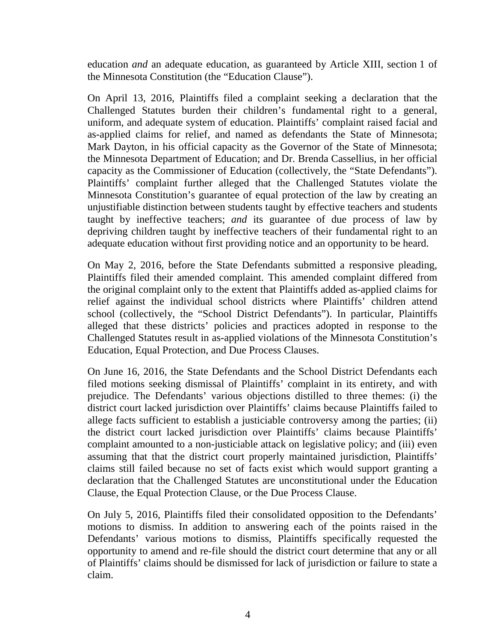education *and* an adequate education, as guaranteed by Article XIII, section 1 of the Minnesota Constitution (the "Education Clause").

On April 13, 2016, Plaintiffs filed a complaint seeking a declaration that the Challenged Statutes burden their children's fundamental right to a general, uniform, and adequate system of education. Plaintiffs' complaint raised facial and as-applied claims for relief, and named as defendants the State of Minnesota; Mark Dayton, in his official capacity as the Governor of the State of Minnesota; the Minnesota Department of Education; and Dr. Brenda Cassellius, in her official capacity as the Commissioner of Education (collectively, the "State Defendants"). Plaintiffs' complaint further alleged that the Challenged Statutes violate the Minnesota Constitution's guarantee of equal protection of the law by creating an unjustifiable distinction between students taught by effective teachers and students taught by ineffective teachers; *and* its guarantee of due process of law by depriving children taught by ineffective teachers of their fundamental right to an adequate education without first providing notice and an opportunity to be heard.

On May 2, 2016, before the State Defendants submitted a responsive pleading, Plaintiffs filed their amended complaint. This amended complaint differed from the original complaint only to the extent that Plaintiffs added as-applied claims for relief against the individual school districts where Plaintiffs' children attend school (collectively, the "School District Defendants"). In particular, Plaintiffs alleged that these districts' policies and practices adopted in response to the Challenged Statutes result in as-applied violations of the Minnesota Constitution's Education, Equal Protection, and Due Process Clauses.

On June 16, 2016, the State Defendants and the School District Defendants each filed motions seeking dismissal of Plaintiffs' complaint in its entirety, and with prejudice. The Defendants' various objections distilled to three themes: (i) the district court lacked jurisdiction over Plaintiffs' claims because Plaintiffs failed to allege facts sufficient to establish a justiciable controversy among the parties; (ii) the district court lacked jurisdiction over Plaintiffs' claims because Plaintiffs' complaint amounted to a non-justiciable attack on legislative policy; and (iii) even assuming that that the district court properly maintained jurisdiction, Plaintiffs' claims still failed because no set of facts exist which would support granting a declaration that the Challenged Statutes are unconstitutional under the Education Clause, the Equal Protection Clause, or the Due Process Clause.

On July 5, 2016, Plaintiffs filed their consolidated opposition to the Defendants' motions to dismiss. In addition to answering each of the points raised in the Defendants' various motions to dismiss, Plaintiffs specifically requested the opportunity to amend and re-file should the district court determine that any or all of Plaintiffs' claims should be dismissed for lack of jurisdiction or failure to state a claim.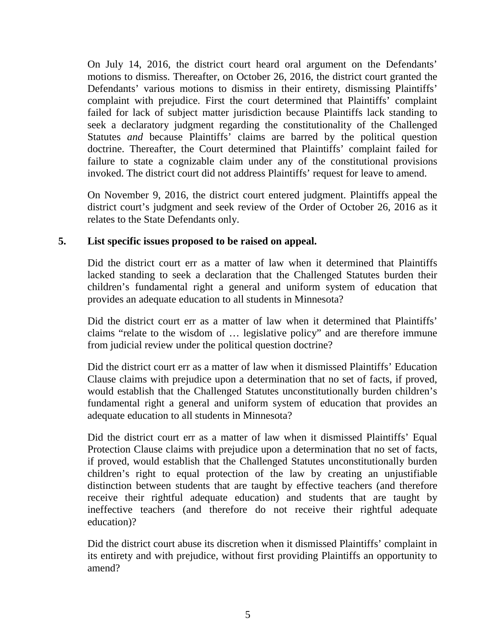On July 14, 2016, the district court heard oral argument on the Defendants' motions to dismiss. Thereafter, on October 26, 2016, the district court granted the Defendants' various motions to dismiss in their entirety, dismissing Plaintiffs' complaint with prejudice. First the court determined that Plaintiffs' complaint failed for lack of subject matter jurisdiction because Plaintiffs lack standing to seek a declaratory judgment regarding the constitutionality of the Challenged Statutes *and* because Plaintiffs' claims are barred by the political question doctrine. Thereafter, the Court determined that Plaintiffs' complaint failed for failure to state a cognizable claim under any of the constitutional provisions invoked. The district court did not address Plaintiffs' request for leave to amend.

On November 9, 2016, the district court entered judgment. Plaintiffs appeal the district court's judgment and seek review of the Order of October 26, 2016 as it relates to the State Defendants only.

#### **5. List specific issues proposed to be raised on appeal.**

Did the district court err as a matter of law when it determined that Plaintiffs lacked standing to seek a declaration that the Challenged Statutes burden their children's fundamental right a general and uniform system of education that provides an adequate education to all students in Minnesota?

Did the district court err as a matter of law when it determined that Plaintiffs' claims "relate to the wisdom of … legislative policy" and are therefore immune from judicial review under the political question doctrine?

Did the district court err as a matter of law when it dismissed Plaintiffs' Education Clause claims with prejudice upon a determination that no set of facts, if proved, would establish that the Challenged Statutes unconstitutionally burden children's fundamental right a general and uniform system of education that provides an adequate education to all students in Minnesota?

Did the district court err as a matter of law when it dismissed Plaintiffs' Equal Protection Clause claims with prejudice upon a determination that no set of facts, if proved, would establish that the Challenged Statutes unconstitutionally burden children's right to equal protection of the law by creating an unjustifiable distinction between students that are taught by effective teachers (and therefore receive their rightful adequate education) and students that are taught by ineffective teachers (and therefore do not receive their rightful adequate education)?

Did the district court abuse its discretion when it dismissed Plaintiffs' complaint in its entirety and with prejudice, without first providing Plaintiffs an opportunity to amend?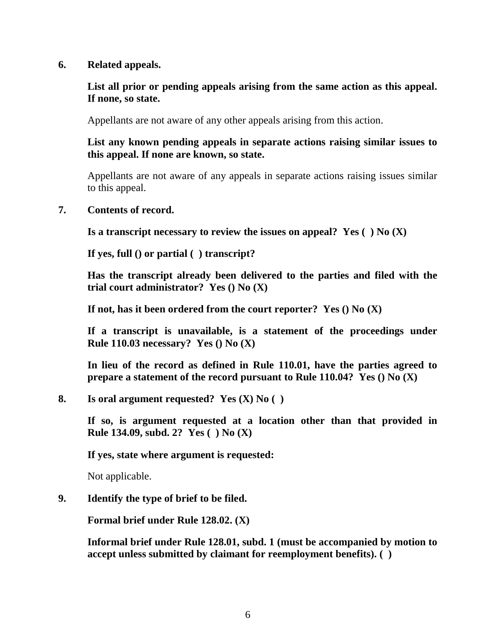#### **6. Related appeals.**

# **List all prior or pending appeals arising from the same action as this appeal. If none, so state.**

Appellants are not aware of any other appeals arising from this action.

**List any known pending appeals in separate actions raising similar issues to this appeal. If none are known, so state.**

Appellants are not aware of any appeals in separate actions raising issues similar to this appeal.

#### **7. Contents of record.**

**Is a transcript necessary to review the issues on appeal? Yes ( ) No (X)**

**If yes, full () or partial ( ) transcript?**

**Has the transcript already been delivered to the parties and filed with the trial court administrator? Yes () No (X)**

**If not, has it been ordered from the court reporter? Yes () No (X)**

**If a transcript is unavailable, is a statement of the proceedings under Rule 110.03 necessary? Yes () No (X)**

**In lieu of the record as defined in Rule 110.01, have the parties agreed to prepare a statement of the record pursuant to Rule 110.04? Yes () No (X)**

**8. Is oral argument requested? Yes (X) No ( )**

**If so, is argument requested at a location other than that provided in Rule 134.09, subd. 2? Yes ( ) No (X)**

**If yes, state where argument is requested:**

Not applicable.

# **9. Identify the type of brief to be filed.**

**Formal brief under Rule 128.02. (X)**

**Informal brief under Rule 128.01, subd. 1 (must be accompanied by motion to accept unless submitted by claimant for reemployment benefits). ( )**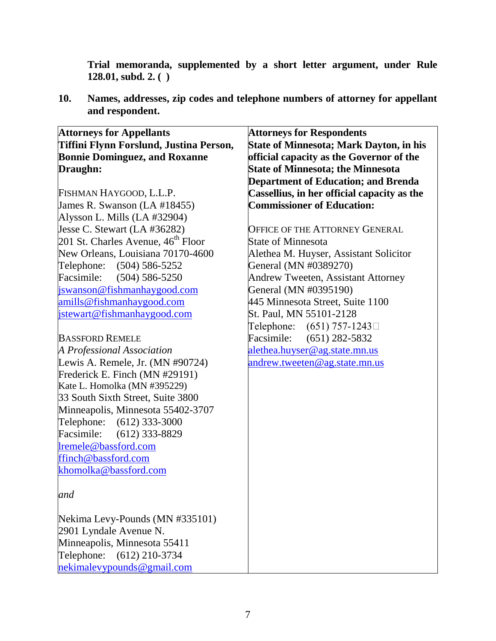**Trial memoranda, supplemented by a short letter argument, under Rule 128.01, subd. 2. ( )**

**10. Names, addresses, zip codes and telephone numbers of attorney for appellant and respondent.**

| <b>Attorneys for Appellants</b>                | <b>Attorneys for Respondents</b>            |
|------------------------------------------------|---------------------------------------------|
| Tiffini Flynn Forslund, Justina Person,        | State of Minnesota; Mark Dayton, in his     |
| <b>Bonnie Dominguez, and Roxanne</b>           | official capacity as the Governor of the    |
| Draughn:                                       | <b>State of Minnesota; the Minnesota</b>    |
|                                                |                                             |
|                                                | <b>Department of Education; and Brenda</b>  |
| FISHMAN HAYGOOD, L.L.P.                        | Cassellius, in her official capacity as the |
| James R. Swanson (LA #18455)                   | <b>Commissioner of Education:</b>           |
| Alysson L. Mills (LA #32904)                   |                                             |
| Jesse C. Stewart (LA #36282)                   | <b>OFFICE OF THE ATTORNEY GENERAL</b>       |
| 201 St. Charles Avenue, 46 <sup>th</sup> Floor | <b>State of Minnesota</b>                   |
| New Orleans, Louisiana 70170-4600              | Alethea M. Huyser, Assistant Solicitor      |
| Telephone: (504) 586-5252                      | General (MN #0389270)                       |
| Facsimile: (504) 586-5250                      | Andrew Tweeten, Assistant Attorney          |
| jswanson@fishmanhaygood.com                    | General (MN #0395190)                       |
| amills@fishmanhaygood.com                      | 445 Minnesota Street, Suite 1100            |
| jstewart@fishmanhaygood.com                    | St. Paul, MN 55101-2128                     |
|                                                | Telephone: $(651) 757 - 1243$               |
| <b>BASSFORD REMELE</b>                         | Facsimile: (651) 282-5832                   |
| A Professional Association                     | alethea.huyser@ag.state.mn.us               |
| Lewis A. Remele, Jr. (MN #90724)               | andrew.tweeten@ag.state.mn.us               |
| Frederick E. Finch (MN #29191)                 |                                             |
| Kate L. Homolka (MN #395229)                   |                                             |
| 33 South Sixth Street, Suite 3800              |                                             |
| Minneapolis, Minnesota 55402-3707              |                                             |
| Telephone: (612) 333-3000                      |                                             |
| Facsimile: (612) 333-8829                      |                                             |
| lremele@bassford.com                           |                                             |
| ffinch@bassford.com                            |                                             |
| khomolka@bassford.com                          |                                             |
|                                                |                                             |
| and                                            |                                             |
|                                                |                                             |
| Nekima Levy-Pounds (MN #335101)                |                                             |
| 2901 Lyndale Avenue N.                         |                                             |
| Minneapolis, Minnesota 55411                   |                                             |
|                                                |                                             |
| Telephone:<br>$(612)$ 210-3734                 |                                             |
| nekimalevypounds@gmail.com                     |                                             |